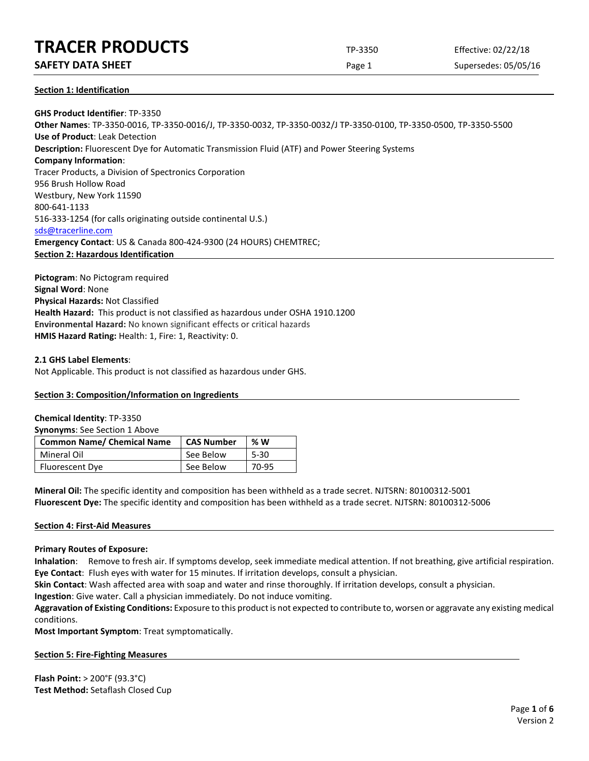**SAFETY DATA SHEET** SUPERFOUR CONSUMING THE Page 1 Supersedes: 05/05/16

**Section 1: Identification**

**GHS Product Identifier**: TP-3350 **Other Names**: TP-3350-0016, TP-3350-0016/J, TP-3350-0032, TP-3350-0032/J TP-3350-0100, TP-3350-0500, TP-3350-5500 **Use of Product**: Leak Detection **Description:** Fluorescent Dye for Automatic Transmission Fluid (ATF) and Power Steering Systems **Company Information**: Tracer Products, a Division of Spectronics Corporation 956 Brush Hollow Road Westbury, New York 11590 800-641-1133 516-333-1254 (for calls originating outside continental U.S.) [sds@tracerline.com](mailto:sds@tracerline.com) **Emergency Contact**: US & Canada 800-424-9300 (24 HOURS) CHEMTREC; **Section 2: Hazardous Identification**

**Pictogram**: No Pictogram required **Signal Word**: None **Physical Hazards:** Not Classified **Health Hazard:** This product is not classified as hazardous under OSHA 1910.1200 **Environmental Hazard:** No known significant effects or critical hazards **HMIS Hazard Rating:** Health: 1, Fire: 1, Reactivity: 0.

### **2.1 GHS Label Elements**:

Not Applicable. This product is not classified as hazardous under GHS.

### **Section 3: Composition/Information on Ingredients**

**Chemical Identity**: TP-3350

| <b>Synonyms: See Section 1 Above</b> |                   |        |  |  |
|--------------------------------------|-------------------|--------|--|--|
| <b>Common Name/ Chemical Name</b>    | <b>CAS Number</b> | %W     |  |  |
| Mineral Oil                          | See Below         | $5-30$ |  |  |
| Fluorescent Dye                      | See Below         | 70-95  |  |  |

**Mineral Oil:** The specific identity and composition has been withheld as a trade secret. NJTSRN: 80100312-5001 **Fluorescent Dye:** The specific identity and composition has been withheld as a trade secret. NJTSRN: 80100312-5006

### **Section 4: First-Aid Measures**

### **Primary Routes of Exposure:**

**Inhalation**: Remove to fresh air. If symptoms develop, seek immediate medical attention. If not breathing, give artificial respiration. **Eye Contact**: Flush eyes with water for 15 minutes. If irritation develops, consult a physician.

**Skin Contact**: Wash affected area with soap and water and rinse thoroughly. If irritation develops, consult a physician.

**Ingestion**: Give water. Call a physician immediately. Do not induce vomiting.

**Aggravation of Existing Conditions:** Exposure to this product is not expected to contribute to, worsen or aggravate any existing medical conditions.

**Most Important Symptom**: Treat symptomatically.

### **Section 5: Fire-Fighting Measures**

**Flash Point:** > 200°F (93.3°C) **Test Method:** Setaflash Closed Cup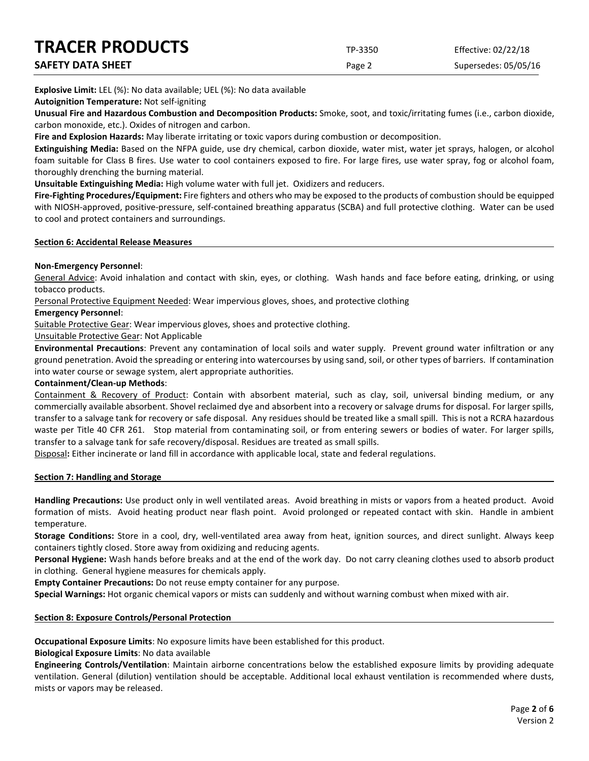| <b>TRACER PRODUCTS</b> | TP-3350 | Effective: 02/22/18  |
|------------------------|---------|----------------------|
| SAFETY DATA SHEET      | Page 2  | Supersedes: 05/05/16 |

**Explosive Limit:** LEL (%): No data available; UEL (%): No data available

**Autoignition Temperature:** Not self-igniting

**Unusual Fire and Hazardous Combustion and Decomposition Products:** Smoke, soot, and toxic/irritating fumes (i.e., carbon dioxide, carbon monoxide, etc.). Oxides of nitrogen and carbon.

**Fire and Explosion Hazards:** May liberate irritating or toxic vapors during combustion or decomposition.

**Extinguishing Media:** Based on the NFPA guide, use dry chemical, carbon dioxide, water mist, water jet sprays, halogen, or alcohol foam suitable for Class B fires. Use water to cool containers exposed to fire. For large fires, use water spray, fog or alcohol foam, thoroughly drenching the burning material.

**Unsuitable Extinguishing Media:** High volume water with full jet. Oxidizers and reducers.

**Fire-Fighting Procedures/Equipment:** Fire fighters and others who may be exposed to the products of combustion should be equipped with NIOSH-approved, positive-pressure, self-contained breathing apparatus (SCBA) and full protective clothing. Water can be used to cool and protect containers and surroundings.

### **Section 6: Accidental Release Measures**

### **Non-Emergency Personnel**:

General Advice: Avoid inhalation and contact with skin, eyes, or clothing. Wash hands and face before eating, drinking, or using tobacco products.

Personal Protective Equipment Needed: Wear impervious gloves, shoes, and protective clothing

#### **Emergency Personnel**:

Suitable Protective Gear: Wear impervious gloves, shoes and protective clothing.

#### Unsuitable Protective Gear: Not Applicable

**Environmental Precautions**: Prevent any contamination of local soils and water supply. Prevent ground water infiltration or any ground penetration. Avoid the spreading or entering into watercourses by using sand, soil, or other types of barriers. If contamination into water course or sewage system, alert appropriate authorities.

#### **Containment/Clean-up Methods**:

Containment & Recovery of Product: Contain with absorbent material, such as clay, soil, universal binding medium, or any commercially available absorbent. Shovel reclaimed dye and absorbent into a recovery or salvage drums for disposal. For larger spills, transfer to a salvage tank for recovery or safe disposal. Any residues should be treated like a small spill. This is not a RCRA hazardous waste per Title 40 CFR 261. Stop material from contaminating soil, or from entering sewers or bodies of water. For larger spills, transfer to a salvage tank for safe recovery/disposal. Residues are treated as small spills.

Disposal**:** Either incinerate or land fill in accordance with applicable local, state and federal regulations.

### **Section 7: Handling and Storage**

**Handling Precautions:** Use product only in well ventilated areas. Avoid breathing in mists or vapors from a heated product. Avoid formation of mists. Avoid heating product near flash point. Avoid prolonged or repeated contact with skin. Handle in ambient temperature.

**Storage Conditions:** Store in a cool, dry, well-ventilated area away from heat, ignition sources, and direct sunlight. Always keep containers tightly closed. Store away from oxidizing and reducing agents.

**Personal Hygiene:** Wash hands before breaks and at the end of the work day. Do not carry cleaning clothes used to absorb product in clothing. General hygiene measures for chemicals apply.

**Empty Container Precautions:** Do not reuse empty container for any purpose.

**Special Warnings:** Hot organic chemical vapors or mists can suddenly and without warning combust when mixed with air.

### **Section 8: Exposure Controls/Personal Protection**

**Occupational Exposure Limits**: No exposure limits have been established for this product.

**Biological Exposure Limits**: No data available

**Engineering Controls/Ventilation**: Maintain airborne concentrations below the established exposure limits by providing adequate ventilation. General (dilution) ventilation should be acceptable. Additional local exhaust ventilation is recommended where dusts, mists or vapors may be released.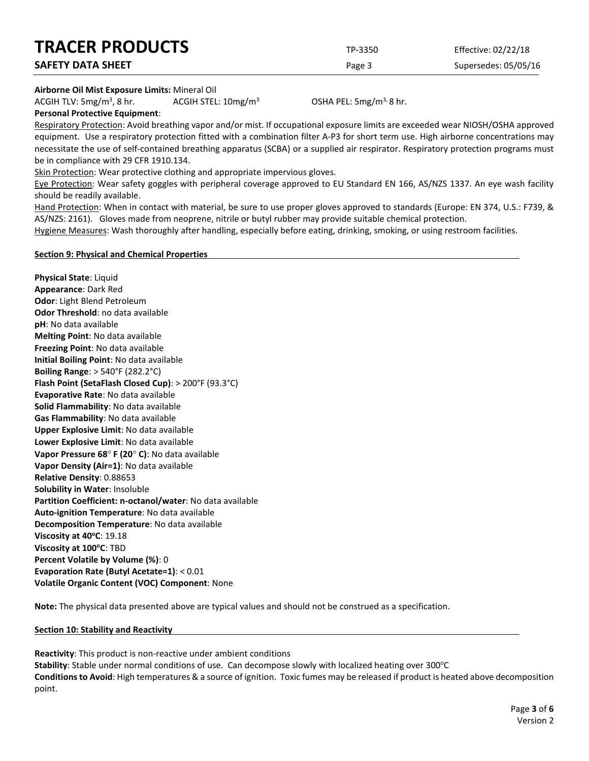| <b>SAFETY DATA SHEET</b> |  |
|--------------------------|--|

Page 3 Supersedes: 05/05/16

### **Airborne Oil Mist Exposure Limits:** Mineral Oil

ACGIH TLV:  $5mg/m<sup>3</sup>$ , 8 hr.

ACGIH STEL:  $10 \text{mg/m}^3$  OSHA PEL:  $5 \text{mg/m}^3$ , 8 hr.

### **Personal Protective Equipment**:

Respiratory Protection: Avoid breathing vapor and/or mist. If occupational exposure limits are exceeded wear NIOSH/OSHA approved equipment. Use a respiratory protection fitted with a combination filter A-P3 for short term use. High airborne concentrations may necessitate the use of self-contained breathing apparatus (SCBA) or a supplied air respirator. Respiratory protection programs must be in compliance with 29 CFR 1910.134.

Skin Protection: Wear protective clothing and appropriate impervious gloves.

Eye Protection: Wear safety goggles with peripheral coverage approved to EU Standard EN 166, AS/NZS 1337. An eye wash facility should be readily available.

Hand Protection: When in contact with material, be sure to use proper gloves approved to standards (Europe: EN 374, U.S.: F739, & AS/NZS: 2161). Gloves made from neoprene, nitrile or butyl rubber may provide suitable chemical protection.

Hygiene Measures: Wash thoroughly after handling, especially before eating, drinking, smoking, or using restroom facilities.

### **Section 9: Physical and Chemical Properties**

**Physical State**: Liquid **Appearance**: Dark Red **Odor**: Light Blend Petroleum **Odor Threshold**: no data available **pH**: No data available **Melting Point**: No data available **Freezing Point**: No data available **Initial Boiling Point**: No data available **Boiling Range**: > 540°F (282.2°C) **Flash Point (SetaFlash Closed Cup)**: > 200°F (93.3°C) **Evaporative Rate**: No data available **Solid Flammability**: No data available **Gas Flammability**: No data available **Upper Explosive Limit**: No data available **Lower Explosive Limit**: No data available **Vapor Pressure 68**° **F (20**° **C)**: No data available **Vapor Density (Air=1)**: No data available **Relative Density**: 0.88653 **Solubility in Water**: Insoluble **Partition Coefficient: n-octanol/water**: No data available **Auto-ignition Temperature**: No data available **Decomposition Temperature**: No data available **Viscosity at 40°C**: 19.18 **Viscosity at 100°C: TBD Percent Volatile by Volume (%)**: 0 **Evaporation Rate (Butyl Acetate=1)**: < 0.01 **Volatile Organic Content (VOC) Component**: None

**Note:** The physical data presented above are typical values and should not be construed as a specification.

### **Section 10: Stability and Reactivity**

**Reactivity**: This product is non-reactive under ambient conditions Stability: Stable under normal conditions of use. Can decompose slowly with localized heating over 300°C **Conditions to Avoid**: High temperatures & a source of ignition. Toxic fumes may be released if product is heated above decomposition point.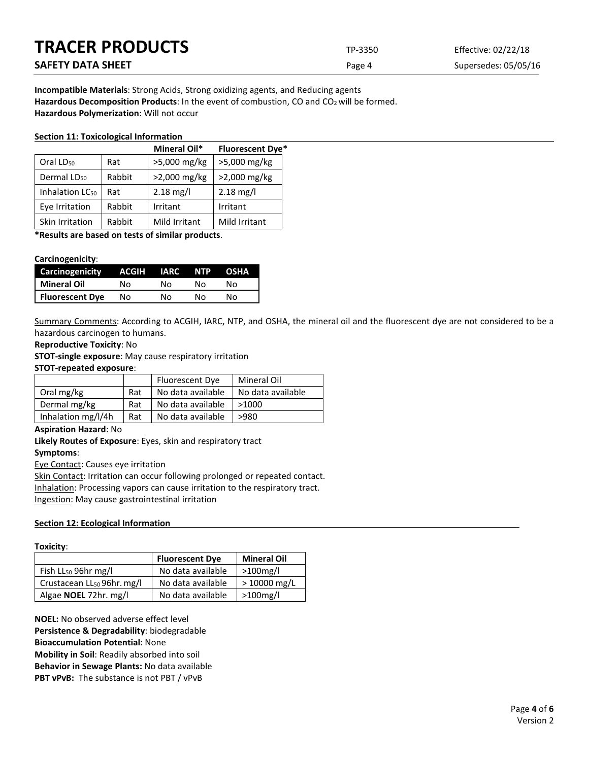| <b>TRACER PRODUCTS</b>   | TP-3350 | Effective: 02/22/18  |
|--------------------------|---------|----------------------|
| <b>SAFETY DATA SHEET</b> | Page 4  | Supersedes: 05/05/16 |

**Incompatible Materials**: Strong Acids, Strong oxidizing agents, and Reducing agents Hazardous Decomposition Products: In the event of combustion, CO and CO<sub>2</sub> will be formed. **Hazardous Polymerization**: Will not occur

#### **Section 11: Toxicological Information**

|                             |        | Mineral Oil*        | <b>Fluorescent Dye*</b> |
|-----------------------------|--------|---------------------|-------------------------|
| Oral LD <sub>50</sub>       | Rat    | >5,000 mg/kg        | >5,000 mg/kg            |
| Dermal LD <sub>50</sub>     | Rabbit | >2,000 mg/kg        | >2,000 mg/kg            |
| Inhalation LC <sub>50</sub> | Rat    | $2.18 \text{ mg/l}$ | $2.18 \text{ mg/l}$     |
| Eve Irritation              | Rabbit | Irritant            | Irritant                |
| Skin Irritation             | Rabbit | Mild Irritant       | Mild Irritant           |

**\*Results are based on tests of similar products**.

#### **Carcinogenicity**:

| Carcinogenicity        | ACGIH | <b>IARC</b> | <b>NTP</b> | <b>OSHA</b> |
|------------------------|-------|-------------|------------|-------------|
| Mineral Oil            | N٥    | N٥          | N٥         | N٥          |
| <b>Fluorescent Dye</b> | N٥    | Nο          | N٥         | N٥          |

Summary Comments: According to ACGIH, IARC, NTP, and OSHA, the mineral oil and the fluorescent dye are not considered to be a hazardous carcinogen to humans.

**Reproductive Toxicity**: No

**STOT-single exposure**: May cause respiratory irritation

#### **STOT-repeated exposure**:

|                    |     | <b>Fluorescent Dye</b> | Mineral Oil       |
|--------------------|-----|------------------------|-------------------|
| Oral mg/kg         | Rat | No data available      | No data available |
| Dermal mg/kg       | Rat | No data available      | >1000             |
| Inhalation mg/l/4h | Rat | No data available      | >980              |

#### **Aspiration Hazard**: No

**Likely Routes of Exposure**: Eyes, skin and respiratory tract **Symptoms**:

Eye Contact: Causes eye irritation

Skin Contact: Irritation can occur following prolonged or repeated contact. Inhalation: Processing vapors can cause irritation to the respiratory tract. Ingestion: May cause gastrointestinal irritation

#### **Section 12: Ecological Information**

#### **Toxicity**:

|                                        | <b>Fluorescent Dye</b> | <b>Mineral Oil</b> |
|----------------------------------------|------------------------|--------------------|
| Fish LL <sub>50</sub> 96hr mg/l        | No data available      | $>100$ mg/l        |
| Crustacean LL <sub>50</sub> 96hr. mg/l | No data available      | $>10000$ mg/L      |
| Algae <b>NOEL</b> 72hr. mg/l           | No data available      | $>100$ mg/l        |

**NOEL:** No observed adverse effect level **Persistence & Degradability**: biodegradable **Bioaccumulation Potential**: None **Mobility in Soil**: Readily absorbed into soil **Behavior in Sewage Plants:** No data available **PBT vPvB:** The substance is not PBT / vPvB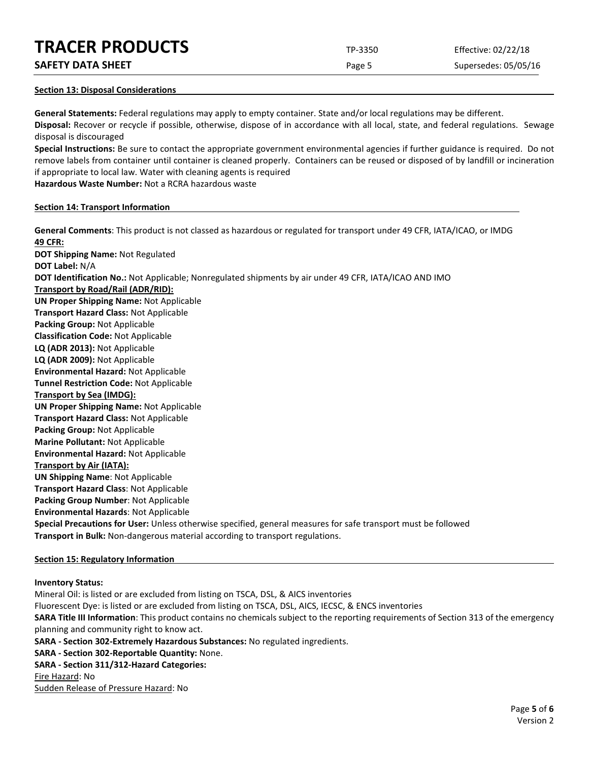**SAFETY DATA SHEET** SUPERFOUR CONSUMING THE Page 5 Supersedes: 05/05/16

## **Section 13: Disposal Considerations**

**General Statements:** Federal regulations may apply to empty container. State and/or local regulations may be different. **Disposal:** Recover or recycle if possible, otherwise, dispose of in accordance with all local, state, and federal regulations. Sewage disposal is discouraged

**Special Instructions:** Be sure to contact the appropriate government environmental agencies if further guidance is required. Do not remove labels from container until container is cleaned properly. Containers can be reused or disposed of by landfill or incineration if appropriate to local law. Water with cleaning agents is required

**Hazardous Waste Number:** Not a RCRA hazardous waste

### **Section 14: Transport Information**

**General Comments**: This product is not classed as hazardous or regulated for transport under 49 CFR, IATA/ICAO, or IMDG **49 CFR: DOT Shipping Name:** Not Regulated **DOT Label:** N/A **DOT Identification No.:** Not Applicable; Nonregulated shipments by air under 49 CFR, IATA/ICAO AND IMO **Transport by Road/Rail (ADR/RID): UN Proper Shipping Name:** Not Applicable **Transport Hazard Class:** Not Applicable **Packing Group:** Not Applicable **Classification Code:** Not Applicable **LQ (ADR 2013):** Not Applicable **LQ (ADR 2009):** Not Applicable **Environmental Hazard:** Not Applicable **Tunnel Restriction Code:** Not Applicable **Transport by Sea (IMDG): UN Proper Shipping Name:** Not Applicable **Transport Hazard Class:** Not Applicable **Packing Group:** Not Applicable **Marine Pollutant:** Not Applicable **Environmental Hazard:** Not Applicable **Transport by Air (IATA): UN Shipping Name**: Not Applicable **Transport Hazard Class**: Not Applicable **Packing Group Number**: Not Applicable **Environmental Hazards**: Not Applicable **Special Precautions for User:** Unless otherwise specified, general measures for safe transport must be followed **Transport in Bulk:** Non-dangerous material according to transport regulations.

### **Section 15: Regulatory Information**

### **Inventory Status:**

Mineral Oil: is listed or are excluded from listing on TSCA, DSL, & AICS inventories Fluorescent Dye: is listed or are excluded from listing on TSCA, DSL, AICS, IECSC, & ENCS inventories **SARA Title III Information**: This product contains no chemicals subject to the reporting requirements of Section 313 of the emergency planning and community right to know act. **SARA - Section 302-Extremely Hazardous Substances:** No regulated ingredients. **SARA - Section 302-Reportable Quantity:** None. **SARA - Section 311/312-Hazard Categories:** Fire Hazard: No Sudden Release of Pressure Hazard: No